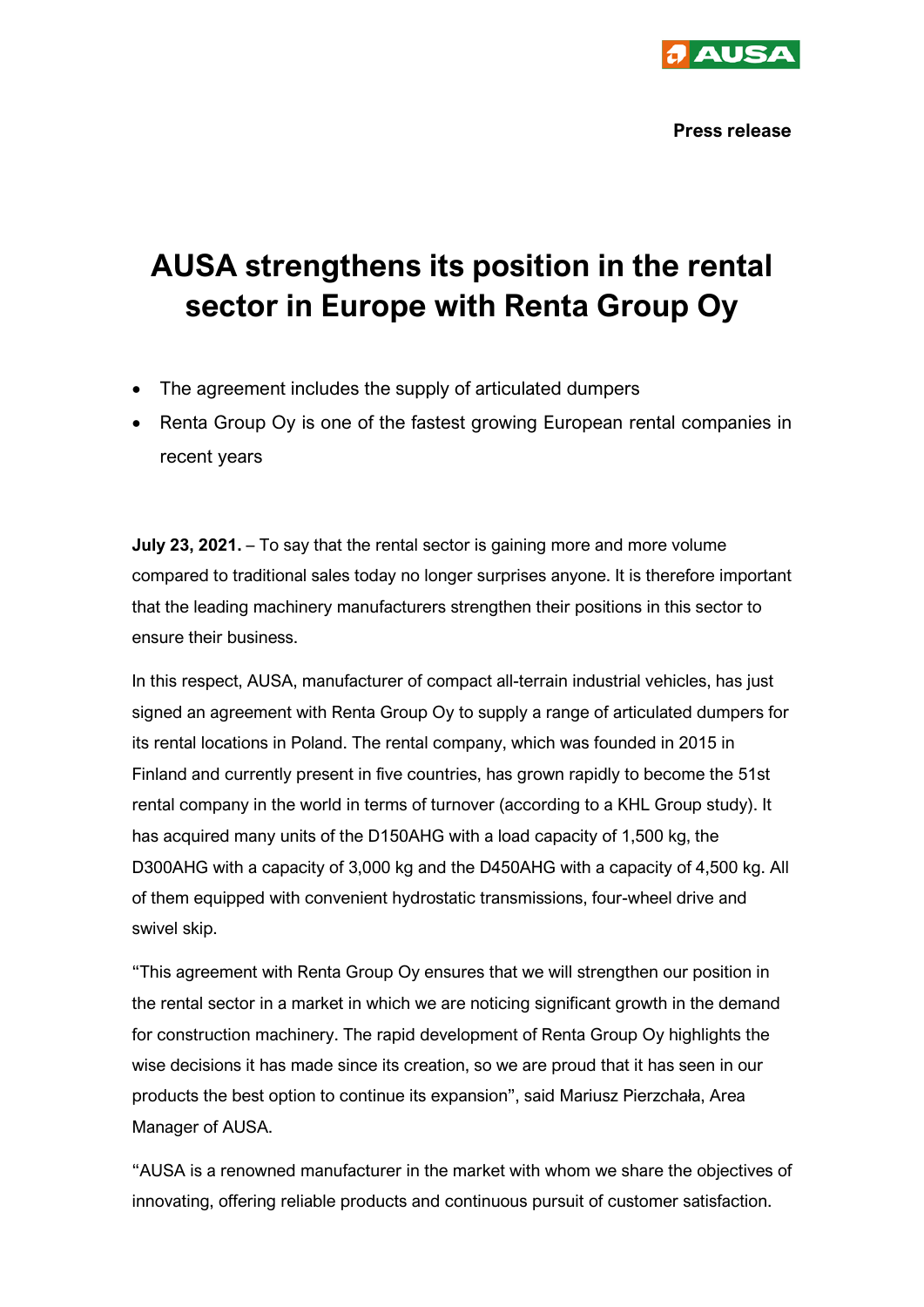

## **AUSA strengthens its position in the rental sector in Europe with Renta Group Oy**

- The agreement includes the supply of articulated dumpers
- Renta Group Oy is one of the fastest growing European rental companies in recent years

**July 23, 2021.** – To say that the rental sector is gaining more and more volume compared to traditional sales today no longer surprises anyone. It is therefore important that the leading machinery manufacturers strengthen their positions in this sector to ensure their business.

In this respect, AUSA, manufacturer of compact all-terrain industrial vehicles, has just signed an agreement with Renta Group Oy to supply a range of articulated dumpers for its rental locations in Poland. The rental company, which was founded in 2015 in Finland and currently present in five countries, has grown rapidly to become the 51st rental company in the world in terms of turnover (according to a KHL Group study). It has acquired many units of the D150AHG with a load capacity of 1,500 kg, the D300AHG with a capacity of 3,000 kg and the D450AHG with a capacity of 4,500 kg. All of them equipped with convenient hydrostatic transmissions, four-wheel drive and swivel skip.

"This agreement with Renta Group Oy ensures that we will strengthen our position in the rental sector in a market in which we are noticing significant growth in the demand for construction machinery. The rapid development of Renta Group Oy highlights the wise decisions it has made since its creation, so we are proud that it has seen in our products the best option to continue its expansion", said Mariusz Pierzchała, Area Manager of AUSA.

"AUSA is a renowned manufacturer in the market with whom we share the objectives of innovating, offering reliable products and continuous pursuit of customer satisfaction.